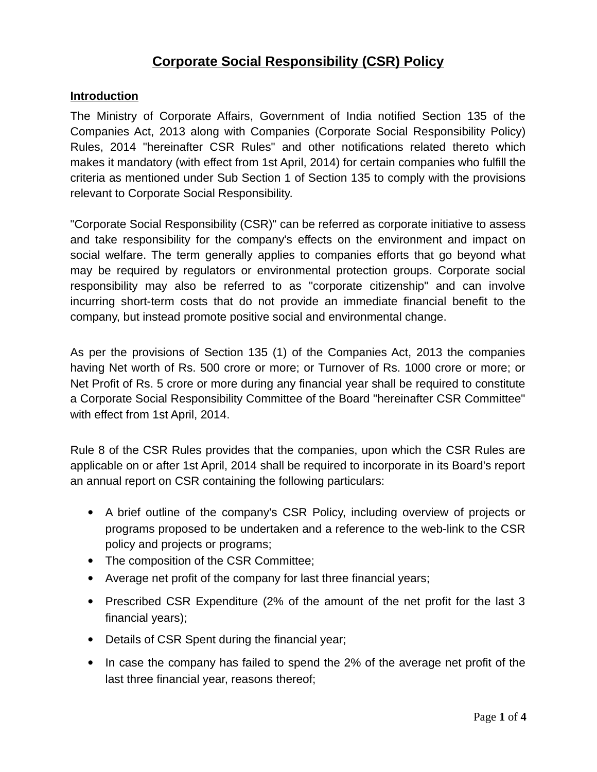# **Corporate Social Responsibility (CSR) Policy**

#### **Introduction**

The Ministry of Corporate Affairs, Government of India notified Section 135 of the Companies Act, 2013 along with Companies (Corporate Social Responsibility Policy) Rules, 2014 "hereinafter CSR Rules" and other notifications related thereto which makes it mandatory (with effect from 1st April, 2014) for certain companies who fulfill the criteria as mentioned under Sub Section 1 of Section 135 to comply with the provisions relevant to Corporate Social Responsibility.

"Corporate Social Responsibility (CSR)" can be referred as corporate initiative to assess and take responsibility for the company's effects on the environment and impact on social welfare. The term generally applies to companies efforts that go beyond what may be required by regulators or environmental protection groups. Corporate social responsibility may also be referred to as "corporate citizenship" and can involve incurring short-term costs that do not provide an immediate financial benefit to the company, but instead promote positive social and environmental change.

As per the provisions of Section 135 (1) of the Companies Act, 2013 the companies having Net worth of Rs. 500 crore or more; or Turnover of Rs. 1000 crore or more; or Net Profit of Rs. 5 crore or more during any financial year shall be required to constitute a Corporate Social Responsibility Committee of the Board "hereinafter CSR Committee" with effect from 1st April, 2014.

Rule 8 of the CSR Rules provides that the companies, upon which the CSR Rules are applicable on or after 1st April, 2014 shall be required to incorporate in its Board's report an annual report on CSR containing the following particulars:

- A brief outline of the company's CSR Policy, including overview of projects or programs proposed to be undertaken and a reference to the web-link to the CSR policy and projects or programs;
- The composition of the CSR Committee;
- Average net profit of the company for last three financial years;
- Prescribed CSR Expenditure (2% of the amount of the net profit for the last 3 financial years);
- Details of CSR Spent during the financial year;
- In case the company has failed to spend the 2% of the average net profit of the last three financial year, reasons thereof;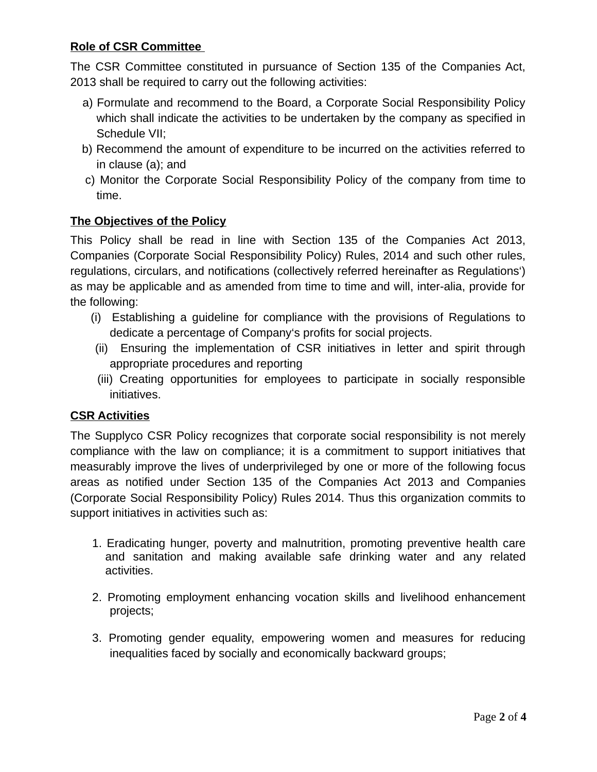# **Role of CSR Committee**

The CSR Committee constituted in pursuance of Section 135 of the Companies Act, 2013 shall be required to carry out the following activities:

- a) Formulate and recommend to the Board, a Corporate Social Responsibility Policy which shall indicate the activities to be undertaken by the company as specified in Schedule VII;
- b) Recommend the amount of expenditure to be incurred on the activities referred to in clause (a); and
- c) Monitor the Corporate Social Responsibility Policy of the company from time to time.

### **The Objectives of the Policy**

This Policy shall be read in line with Section 135 of the Companies Act 2013, Companies (Corporate Social Responsibility Policy) Rules, 2014 and such other rules, regulations, circulars, and notifications (collectively referred hereinafter as Regulations') as may be applicable and as amended from time to time and will, inter-alia, provide for the following:

- (i) Establishing a guideline for compliance with the provisions of Regulations to dedicate a percentage of Company's profits for social projects.
- (ii) Ensuring the implementation of CSR initiatives in letter and spirit through appropriate procedures and reporting
- (iii) Creating opportunities for employees to participate in socially responsible initiatives.

#### **CSR Activities**

The Supplyco CSR Policy recognizes that corporate social responsibility is not merely compliance with the law on compliance; it is a commitment to support initiatives that measurably improve the lives of underprivileged by one or more of the following focus areas as notified under Section 135 of the Companies Act 2013 and Companies (Corporate Social Responsibility Policy) Rules 2014. Thus this organization commits to support initiatives in activities such as:

- 1. Eradicating hunger, poverty and malnutrition, promoting preventive health care and sanitation and making available safe drinking water and any related activities.
- 2. Promoting employment enhancing vocation skills and livelihood enhancement projects;
- 3. Promoting gender equality, empowering women and measures for reducing inequalities faced by socially and economically backward groups;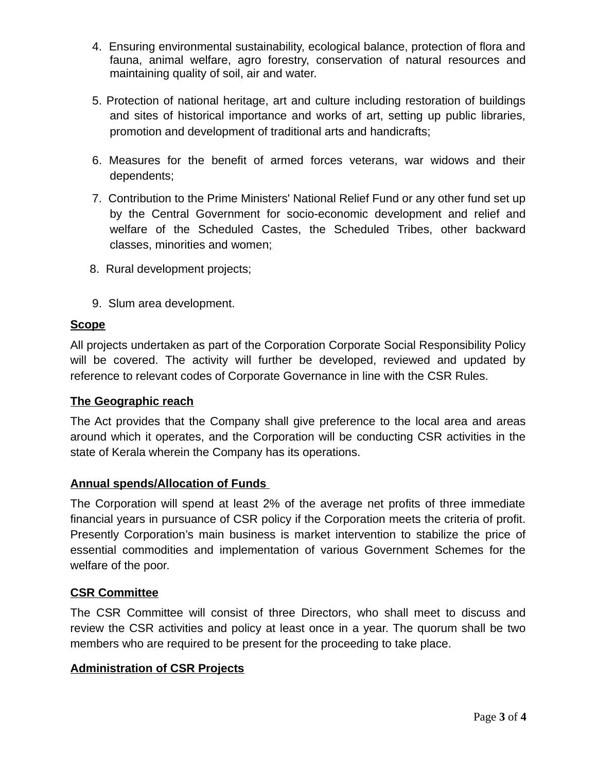- 4. Ensuring environmental sustainability, ecological balance, protection of flora and fauna, animal welfare, agro forestry, conservation of natural resources and maintaining quality of soil, air and water.
- 5. Protection of national heritage, art and culture including restoration of buildings and sites of historical importance and works of art, setting up public libraries, promotion and development of traditional arts and handicrafts;
- 6. Measures for the benefit of armed forces veterans, war widows and their dependents;
- 7. Contribution to the Prime Ministers' National Relief Fund or any other fund set up by the Central Government for socio-economic development and relief and welfare of the Scheduled Castes, the Scheduled Tribes, other backward classes, minorities and women;
- 8. Rural development projects;
- 9. Slum area development.

# **Scope**

All projects undertaken as part of the Corporation Corporate Social Responsibility Policy will be covered. The activity will further be developed, reviewed and updated by reference to relevant codes of Corporate Governance in line with the CSR Rules.

# **The Geographic reach**

The Act provides that the Company shall give preference to the local area and areas around which it operates, and the Corporation will be conducting CSR activities in the state of Kerala wherein the Company has its operations.

# **Annual spends/Allocation of Funds**

The Corporation will spend at least 2% of the average net profits of three immediate financial years in pursuance of CSR policy if the Corporation meets the criteria of profit. Presently Corporation's main business is market intervention to stabilize the price of essential commodities and implementation of various Government Schemes for the welfare of the poor.

#### **CSR Committee**

The CSR Committee will consist of three Directors, who shall meet to discuss and review the CSR activities and policy at least once in a year. The quorum shall be two members who are required to be present for the proceeding to take place.

# **Administration of CSR Projects**